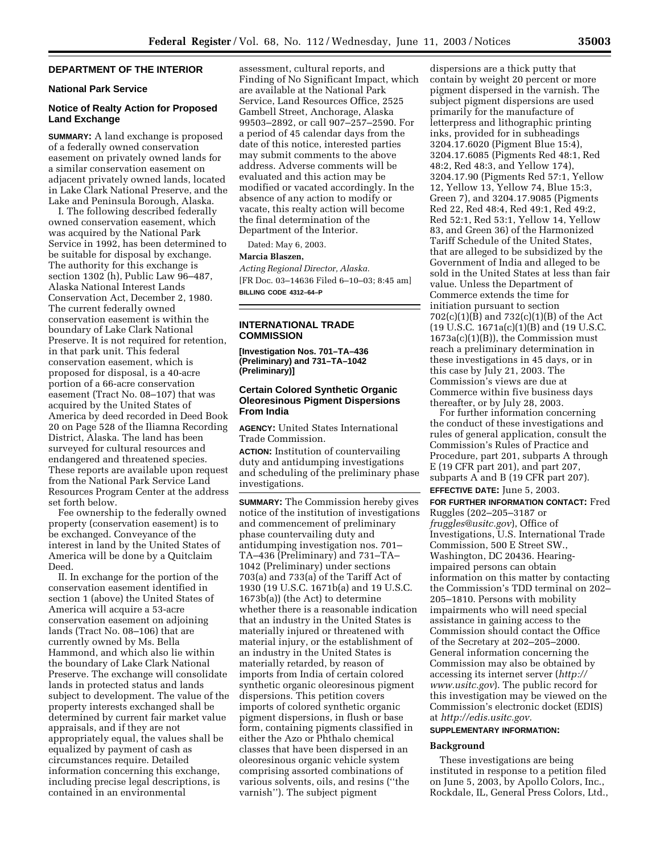# **DEPARTMENT OF THE INTERIOR**

## **National Park Service**

## **Notice of Realty Action for Proposed Land Exchange**

**SUMMARY:** A land exchange is proposed of a federally owned conservation easement on privately owned lands for a similar conservation easement on adjacent privately owned lands, located in Lake Clark National Preserve, and the Lake and Peninsula Borough, Alaska.

I. The following described federally owned conservation easement, which was acquired by the National Park Service in 1992, has been determined to be suitable for disposal by exchange. The authority for this exchange is section 1302 (h), Public Law 96–487, Alaska National Interest Lands Conservation Act, December 2, 1980. The current federally owned conservation easement is within the boundary of Lake Clark National Preserve. It is not required for retention, in that park unit. This federal conservation easement, which is proposed for disposal, is a 40-acre portion of a 66-acre conservation easement (Tract No. 08–107) that was acquired by the United States of America by deed recorded in Deed Book 20 on Page 528 of the Iliamna Recording District, Alaska. The land has been surveyed for cultural resources and endangered and threatened species. These reports are available upon request from the National Park Service Land Resources Program Center at the address set forth below.

Fee ownership to the federally owned property (conservation easement) is to be exchanged. Conveyance of the interest in land by the United States of America will be done by a Quitclaim Deed.

II. In exchange for the portion of the conservation easement identified in section 1 (above) the United States of America will acquire a 53-acre conservation easement on adjoining lands (Tract No. 08–106) that are currently owned by Ms. Bella Hammond, and which also lie within the boundary of Lake Clark National Preserve. The exchange will consolidate lands in protected status and lands subject to development. The value of the property interests exchanged shall be determined by current fair market value appraisals, and if they are not appropriately equal, the values shall be equalized by payment of cash as circumstances require. Detailed information concerning this exchange, including precise legal descriptions, is contained in an environmental

assessment, cultural reports, and Finding of No Significant Impact, which are available at the National Park Service, Land Resources Office, 2525 Gambell Street, Anchorage, Alaska 99503–2892, or call 907–257–2590. For a period of 45 calendar days from the date of this notice, interested parties may submit comments to the above address. Adverse comments will be evaluated and this action may be modified or vacated accordingly. In the absence of any action to modify or vacate, this realty action will become the final determination of the Department of the Interior.

Dated: May 6, 2003.

#### **Marcia Blaszen,**

*Acting Regional Director, Alaska.* [FR Doc. 03–14636 Filed 6–10–03; 8:45 am] **BILLING CODE 4312–64–P**

# **INTERNATIONAL TRADE COMMISSION**

**[Investigation Nos. 701–TA–436 (Preliminary) and 731–TA–1042 (Preliminary)]** 

# **Certain Colored Synthetic Organic Oleoresinous Pigment Dispersions From India**

**AGENCY:** United States International Trade Commission.

**ACTION:** Institution of countervailing duty and antidumping investigations and scheduling of the preliminary phase investigations.

**SUMMARY:** The Commission hereby gives notice of the institution of investigations and commencement of preliminary phase countervailing duty and antidumping investigation nos. 701– TA–436 (Preliminary) and 731–TA– 1042 (Preliminary) under sections 703(a) and 733(a) of the Tariff Act of 1930 (19 U.S.C. 1671b(a) and 19 U.S.C. 1673b(a)) (the Act) to determine whether there is a reasonable indication that an industry in the United States is materially injured or threatened with material injury, or the establishment of an industry in the United States is materially retarded, by reason of imports from India of certain colored synthetic organic oleoresinous pigment dispersions. This petition covers imports of colored synthetic organic pigment dispersions, in flush or base form, containing pigments classified in either the Azo or Phthalo chemical classes that have been dispersed in an oleoresinous organic vehicle system comprising assorted combinations of various solvents, oils, and resins (''the varnish''). The subject pigment

dispersions are a thick putty that contain by weight 20 percent or more pigment dispersed in the varnish. The subject pigment dispersions are used primarily for the manufacture of letterpress and lithographic printing inks, provided for in subheadings 3204.17.6020 (Pigment Blue 15:4), 3204.17.6085 (Pigments Red 48:1, Red 48:2, Red 48:3, and Yellow 174), 3204.17.90 (Pigments Red 57:1, Yellow 12, Yellow 13, Yellow 74, Blue 15:3, Green 7), and 3204.17.9085 (Pigments Red 22, Red 48:4, Red 49:1, Red 49:2, Red 52:1, Red 53:1, Yellow 14, Yellow 83, and Green 36) of the Harmonized Tariff Schedule of the United States, that are alleged to be subsidized by the Government of India and alleged to be sold in the United States at less than fair value. Unless the Department of Commerce extends the time for initiation pursuant to section 702(c)(1)(B) and 732(c)(1)(B) of the Act (19 U.S.C. 1671a(c)(1)(B) and (19 U.S.C. 1673a(c)(1)(B)), the Commission must reach a preliminary determination in these investigations in 45 days, or in this case by July 21, 2003. The Commission's views are due at Commerce within five business days thereafter, or by July 28, 2003.

For further information concerning the conduct of these investigations and rules of general application, consult the Commission's Rules of Practice and Procedure, part 201, subparts A through E (19 CFR part 201), and part 207, subparts A and B (19 CFR part 207). **EFFECTIVE DATE:** June 5, 2003.

**FOR FURTHER INFORMATION CONTACT:** Fred Ruggles (202–205–3187 or *fruggles@usitc.gov*), Office of Investigations, U.S. International Trade Commission, 500 E Street SW., Washington, DC 20436. Hearingimpaired persons can obtain information on this matter by contacting the Commission's TDD terminal on 202– 205–1810. Persons with mobility impairments who will need special assistance in gaining access to the Commission should contact the Office of the Secretary at 202–205–2000. General information concerning the Commission may also be obtained by accessing its internet server (*http:// www.usitc.gov*). The public record for this investigation may be viewed on the Commission's electronic docket (EDIS) at *http://edis.usitc.gov.*

# **SUPPLEMENTARY INFORMATION:**

#### **Background**

These investigations are being instituted in response to a petition filed on June 5, 2003, by Apollo Colors, Inc., Rockdale, IL, General Press Colors, Ltd.,